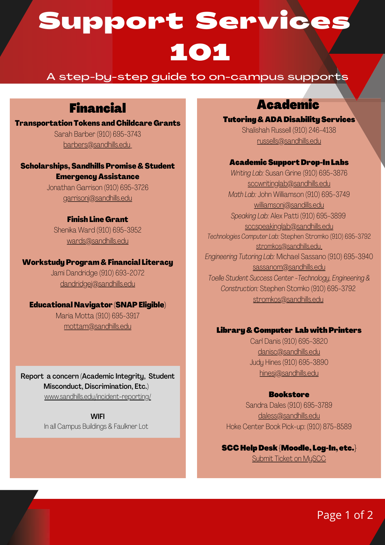# Support Services 101

### A step-by-step guide to on-campus supports

# Financial

### Transportation Tokens and Childcare Grants Sarah Barber (910) 695-3743 [barbers@sandhills.edu](mailto:barbers@sandhills.edu)

### Scholarships, Sandhills Promise & Student Emergency Assistance

Jonathan Garrison (910) 695-3726 [garrisonj@sandhills.edu](mailto:garrisonj@sandhills.edu)

### Finish Line Grant

Shenika Ward (910) 695-3952 [wards@sandhills.edu](mailto:wards@sandhills.edu)

#### Workstudy Program & Financial Literacy

Jami Dandridge (910) 693-2072 [dandridgej@sandhills.edu](mailto:dandridgej@sandhills.edu)

### Educational Navigator (SNAPEligible)

Maria Motta (910) 695-3917 [mottam@sandhills.edu](mailto:mottam@sandhills.edu)

Report a concern (Academic Integrity, Student Misconduct, Discrimination, Etc.) [www.sandhills.edu/incident-reporting/](http://www.sandhills.edu/incident-reporting/)

> **WIFI** In all Campus Buildings & Faulkner Lot

### Academic

**Tutoring & ADA Disability Services** Shalishah Russell (910) 246-4138 [russells@sandhills.edu](mailto:russells@sandhills.edu)

#### AcademicSupportDrop-In Labs

*Writing Lab:* Susan Grine (910) 695-3876 [sccwritinglab@sandhills.edu](mailto:sccwritinglab@sandhills.edu) *Math Lab:* John Williamson (910) 695-3749 [williamsonj@sandills.edu](mailto:williamsonj@sandills.edu) *Speaking Lab:* Alex Patti (910) 695-3899 [sccspeakinglab@sandhills.edu](mailto:sccspeakinglab@sandhills.edu) *Technologies ComputerLab:* Stephen Stromko (910) 695-3792 [stromkos@sandhills.edu](mailto:stromkos@sandhills.edu) *Engineering Tutoring Lab:* Michael Sassano (910) 695-3940 [sassanom@sandhills.edu](mailto:sassanom@sandhills.edu) *Toelle Student Success Center -Technology, Engineering & Construction:* Stephen Stomko (910) 695-3792 [stromkos@sandhills.edu](mailto:stromkos@sandhills.edu)

### Library&Computer Lab with Printers

Carl Danis (910) 695-3820 [danisc@sandhills.edu](mailto:danisc@sandhills.edu) Judy Hines (910) 695-3890 [hinesj@sandhills.edu](mailto:hinesj@sandhills.edu)

### **Bookstore**

Sandra Dales (910) 695-3789 [daless@sandhills.edu](mailto:daless@sandhills.edu) Hoke Center Book Pick-up: (910) 875-8589

SCCHelp Desk{Moodle, Log-In, etc.} Submit Ticket on [MySCC](https://www.sandhills.edu/myscc/)

Page 1 of 2